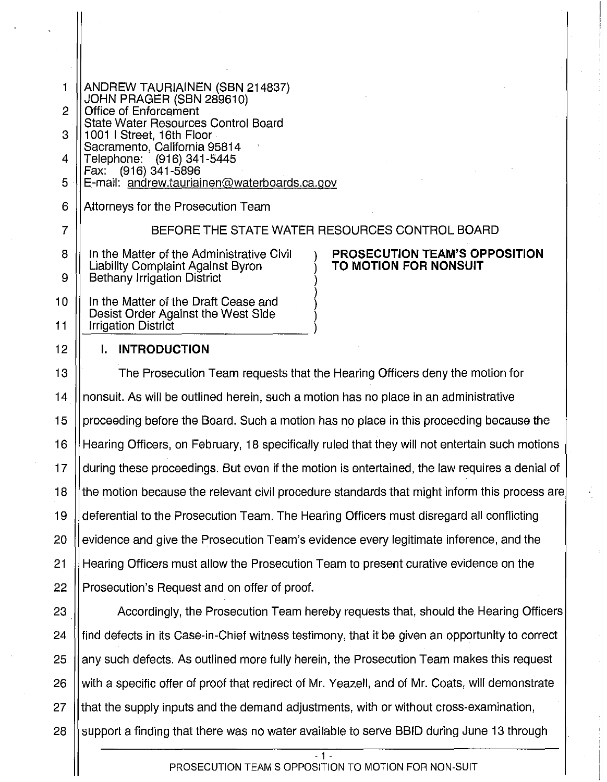| 1  | ANDREW TAURIAINEN (SBN 214837)<br>JOHN PRAGER (SBN 289610)                                          |
|----|-----------------------------------------------------------------------------------------------------|
| 2  | Office of Enforcement                                                                               |
| 3  | State Water Resources Control Board<br>1001   Street, 16th Floor                                    |
| 4  | Sacramento, California 95814<br>Telephone: (916) 341-5445                                           |
|    | Fax: (916) 341-5896                                                                                 |
| 5  | E-mail: andrew.tauriainen@waterboards.ca.gov                                                        |
| 6  | Attorneys for the Prosecution Team                                                                  |
| 7  | BEFORE THE STATE WATER RESOURCES CONTROL BOARD                                                      |
| 8  | PROSECUTION TEAM'S OPPOSITION<br>In the Matter of the Administrative Civil<br>TO MOTION FOR NONSUIT |
| 9  | Liability Complaint Against Byron<br><b>Bethany Irrigation District</b>                             |
| 10 | In the Matter of the Draft Cease and                                                                |
| 11 | Desist Order Against the West Side<br><b>Irrigation District</b>                                    |
| 12 | <b>INTRODUCTION</b><br>L.                                                                           |
| 13 | The Prosecution Team requests that the Hearing Officers deny the motion for                         |
| 14 | nonsuit. As will be outlined herein, such a motion has no place in an administrative                |
|    |                                                                                                     |

15 | proceeding before the Board. Such a motion has no place in this proceeding because the 16 Hearing Officers, on February, 18 specifically ruled that they will not entertain such motions 17 | during these proceedings. But even if the motion is entertained, the law requires a denial of 18 | the motion because the relevant civil procedure standards that might inform this process are 19 deferential to the Prosecution Team. The Hearing Officers must disregard all conflicting 20 | evidence and give the Prosecution Team's evidence every legitimate inference, and the 21 Hearing Officers must allow the Prosecution Team to present curative evidence on the 22 | Prosecution's Request and on offer of proof.

23 Accordingly, the Prosecution Team hereby requests that, should the Hearing Officers 24 If find defects in its Case-in-Chief witness testimony, that it be given an opportunity to correct 25 any such defects. As outlined more fully herein, the Prosecution Team makes this request 26 | with a specific offer of proof that redirect of Mr. Yeazell, and of Mr. Coats, will demonstrate 27 | that the supply inputs and the demand adjustments, with or without cross-examination, 28  $\parallel$  support a finding that there was no water available to serve BBID during June 13 through

### PROSECUTION TEAM'S OPPOSITION TO MOTION FOR NON-SUIT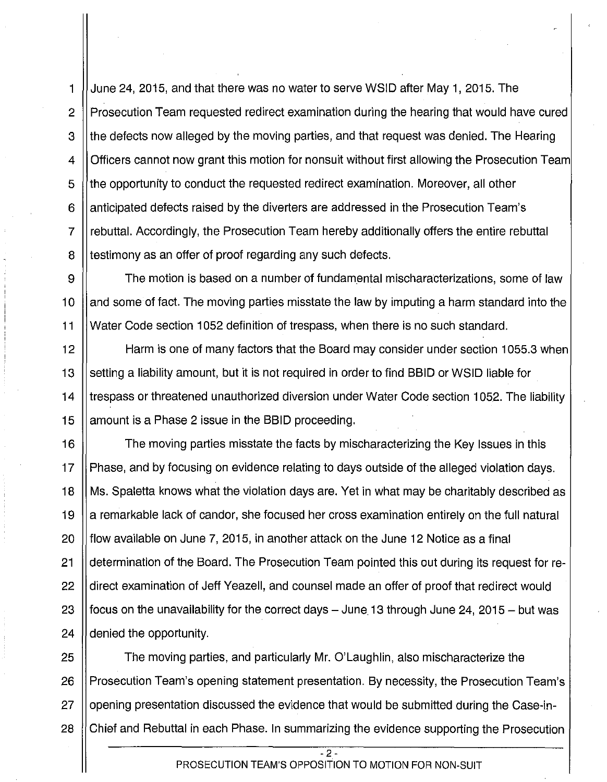1 June 24, 2015, and that there was no water to serve WSID after May 1, 2015. The 2 | Prosecution Team requested redirect examination during the hearing that would have cured 3 I the defects now alleged by the moving parties, and that request was denied. The Hearing 4 | Officers cannot now grant this motion for nonsuit without first allowing the Prosecution Team 5 (the opportunity to conduct the requested redirect examination. Moreover, all other 6 I anticipated defects raised by the diverters are addressed in the Prosecution Team's 7 rebuttal. Accordingly, the Prosecution Team hereby additionally offers the entire rebuttal 8 I testimony as an offer of proof regarding any such defects.

9  $\parallel$  The motion is based on a number of fundamental mischaracterizations, some of law 10 I and some of fact. The moving parties misstate the law by imputing a harm standard into the 11 Water Code section 1052 definition of trespass, when there is no such standard.

12 Harm is one of many factors that the Board may consider under section 1055.3 when 13 Setting a liability amount, but it is not required in order to find BBID or WSID liable for 14 I trespass or threatened unauthorized diversion under Water Code section 1052. The liability 15  $\parallel$  amount is a Phase 2 issue in the BBID proceeding.

16 | The moving parties misstate the facts by mischaracterizing the Key Issues in this 17 Phase, and by focusing on evidence relating to days outside of the alleged violation days. 18 Ms. Spaletta knows what the violation days are. Yet in what may be charitably described as 19 || a remarkable lack of candor, she focused her cross examination entirely on the full natural 20  $\parallel$  flow available on June 7, 2015, in another attack on the June 12 Notice as a final 21 determination of the Board. The Prosecution Team pointed this out during its request for re-22 | direct examination of Jeff Yeazell, and counsel made an offer of proof that redirect would 23  $\parallel$  focus on the unavailability for the correct days – June. 13 through June 24, 2015 – but was 24 | denied the opportunity.

25  $\parallel$  The moving parties, and particularly Mr. O'Laughlin, also mischaracterize the 26 | Prosecution Team's opening statement presentation. By necessity, the Prosecution Team's 27 | opening presentation discussed the evidence that would be submitted during the Case-in-28 (Chief and Rebuttal in each Phase. In summarizing the evidence supporting the Prosecution

> - 2 - PROSECUTION TEAM'S OPPOSITION TO MOTION FOR NON-SUIT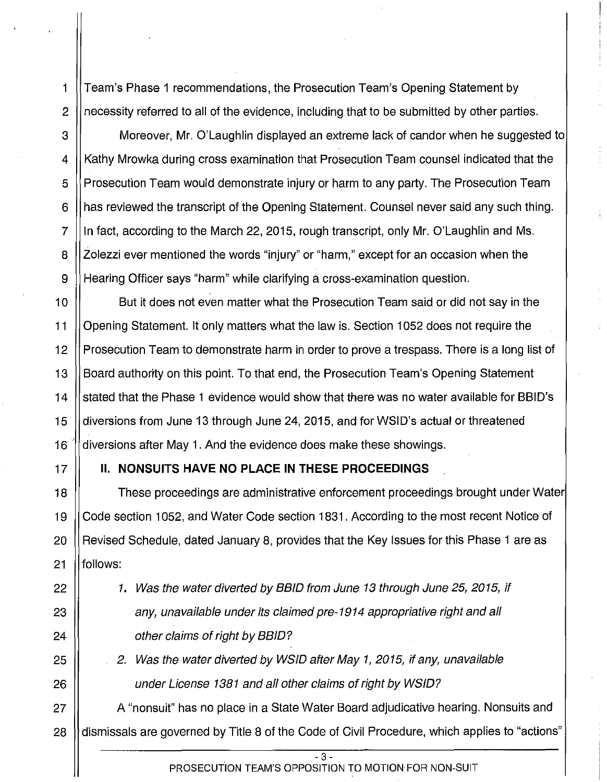1 Team's Phase 1 recommendations, the Prosecution Team's Opening Statement by 2 | necessity referred to all of the evidence, including that to be submitted by other parties.

3 Moreover, Mr. O'Laughlin displayed an extreme lack of candor when he suggested to 4 || Kathy Mrowka during cross examination that Prosecution Team counsel indicated that the  $5 \parallel$  Prosecution Team would demonstrate injury or harm to any party. The Prosecution Team 6 H has reviewed the transcript of the Opening Statement. Counsel never said any such thing.  $7$  || In fact, according to the March 22, 2015, rough transcript, only Mr. O'Laughlin and Ms. 8 | Zolezzi ever mentioned the words "injury" or "harm," except for an occasion when the 9 Hearing Officer says "harm" while clarifying a cross-examination question.

10 ||<br>10 || But it does not even matter what the Prosecution Team said or did not say in the 11 Opening Statement. It only matters what the law is. Section 1052 does not require the 12 | Prosecution Team to demonstrate harm in order to prove a trespass. There is a long list of 13 Board authority on this point. To that end, the Prosecution Team's Opening Statement 14 I stated that the Phase 1 evidence would show that there was no water available for BBID's 15 diversions from June 13 through June 24, 2015, and for WSID's actual or threatened 16  $\parallel$  diversions after May 1. And the evidence does make these showings.

### 17 II. **NONSUITS HAVE NO PLACE IN THESE PROCEEDINGS**

18 These proceedings are administrative enforcement proceedings brought under Water 19 Code section 1052, and Water Code section 1831. According to the most recent Notice of 20 | Revised Schedule, dated January 8, provides that the Key Issues for this Phase 1 are as 21 **il follows:** 

22 |  $\vert$  1. Was the water diverted by BBID from June 13 through June 25, 2015, if 23 || any, unavailable under its claimed pre-1914 appropriative right and all 24 || cther claims of right by BBID?

25 | 2. Was the water diverted by WSID after May 1, 2015, if any, unavailable 26 | under License 1381 and all other claims of right by WSID?

27 | A "nonsuit" has no place in a State Water Board adjudicative hearing. Nonsuits and 28 | dismissals are governed by Title 8 of the Code of Civil Procedure, which applies to "actions"

> - 3 - PROSECUTION TEAM'S OPPOSITION TO MOTION FOR NON-SUIT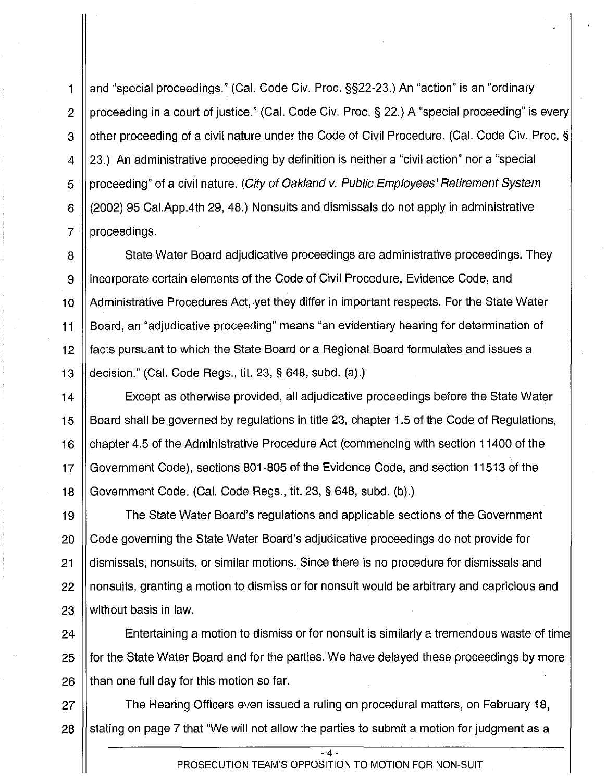1 **H** and "special proceedings." (Cal. Code Civ. Proc. §§22-23.) An "action" is an "ordinary 2 | proceeding in a court of justice." (Cal. Code Civ. Proc. § 22.) A "special proceeding" is every 3 I other proceeding of a civil nature under the Code of Civil Procedure. (Cal. Code Civ. Proc. § 4 | 23.) An administrative proceeding by definition is neither a "civil action" nor a "special 5 || proceeding" of a civil nature. (City of Oakland v. Public Employees' Retirement System 6 (2002) 95 Cai.App.4th 29, 48.) Nonsuits and dismissals do not apply in administrative  $7 \parallel$  proceedings.

8 State Water Board adjudicative proceedings are administrative proceedings. They 9 incorporate certain elements of the Code of Civil Procedure, Evidence Code, and 10 **Administrative Procedures Act, yet they differ in important respects. For the State Water** 11 Board, an "adjudicative proceeding" means "an evidentiary hearing for determination of 12 **facts pursuant to which the State Board or a Regional Board formulates and issues a** 13  $\parallel$  decision." (Cal. Code Regs., tit. 23, § 648, subd. (a).)

14 Except as otherwise provided, all adjudicative proceedings before the State Water 15 **Board shall be governed by regulations in title 23, chapter 1.5 of the Code of Regulations,** 16 chapter 4.5 of the Administrative Procedure Act (commencing with section 11400 of the 17 Government Code), sections 801-805 of the Evidence Code, and section 11513 of the 18 Government Code. (Cal. Code Regs., tit. 23, § 648, subd. (b).)

19 The State Water Board's regulations and applicable sections of the Government 20 Code governing the State Water Board's adjudicative proceedings do not provide for 21 | dismissals, nonsuits, or similar motions. Since there is no procedure for dismissals and  $22$   $\parallel$  nonsuits, granting a motion to dismiss or for nonsuit would be arbitrary and capricious and 23 I without basis in law.

24 | Entertaining a motion to dismiss or for nonsuit is similarly a tremendous waste of time 25 for the State Water Board and for the parties. We have delayed these proceedings by more  $26$  || than one full day for this motion so far.

27 **The Hearing Officers even issued a ruling on procedural matters, on February 18,** 28 Stating on page 7 that "We will not allow the parties to submit a motion for judgment as a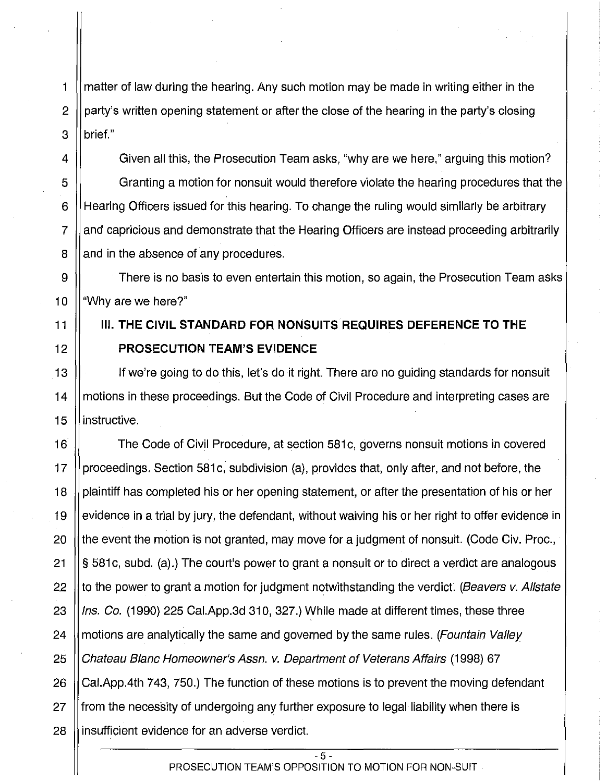1 matter of law during the hearing. Any such motion may be made in writing either in the 2 | party's written opening statement or after the close of the hearing in the party's closing 3 *brief.*"

4  $\parallel$  Given all this, the Prosecution Team asks, "why are we here," arguing this motion? 5 Granting a motion for nonsuit would therefore violate the hearing procedures that the 6 Hearing Officers issued for this hearing. To change the ruling would similarly be arbitrary 7 and capricious and demonstrate that the Hearing Officers are instead proceeding arbitrarily 8 and in the absence of any procedures.

9 | There is no basis to even entertain this motion, so again, the Prosecution Team asks 10  $\parallel$  "Why are we here?"

### 11 Ill. **THE CIVIL STANDARD FOR NONSUITS REQUIRES DEFERENCE TO THE**  12 **PROSECUTION TEAM'S EVIDENCE**

13 If we're going to do this, let's do it right. There are no guiding standards for nonsuit 14 motions in these proceedings. But the Code of Civil Procedure and interpreting cases are 15 llinstructive.

16 | The Code of Civil Procedure, at section 581c, governs nonsuit motions in covered 17 | proceedings. Section 581c, subdivision (a), provides that, only after, and not before, the 18 plaintiff has completed his or her opening statement, or after the presentation of his or her 19 | evidence in a trial by jury, the defendant, without waiving his or her right to offer evidence in 20  $\parallel$  the event the motion is not granted, may move for a judgment of nonsuit. (Code Civ. Proc., 21  $\|\$ § 581c, subd. (a).) The court's power to grant a nonsuit or to direct a verdict are analogous 22  $\parallel$  to the power to grant a motion for judgment notwithstanding the verdict. (Beavers v. Allstate 23  $\parallel$  lns. Co. (1990) 225 Cal.App.3d 310, 327.) While made at different times, these three 24  $\parallel$  motions are analytically the same and governed by the same rules. (Fountain Valley 25 | Chateau Blanc Homeowner's Assn. v. Department of Veterans Affairs (1998) 67 26 (Cal.App.4th 743, 750.) The function of these motions is to prevent the moving defendant 27 from the necessity of undergoing any further exposure to legal liability when there is 28 **i** insufficient evidence for an adverse verdict.

> - 5- PROSECUTION TEAM'S OPPOSITION TO MOTION FOR NON-SUIT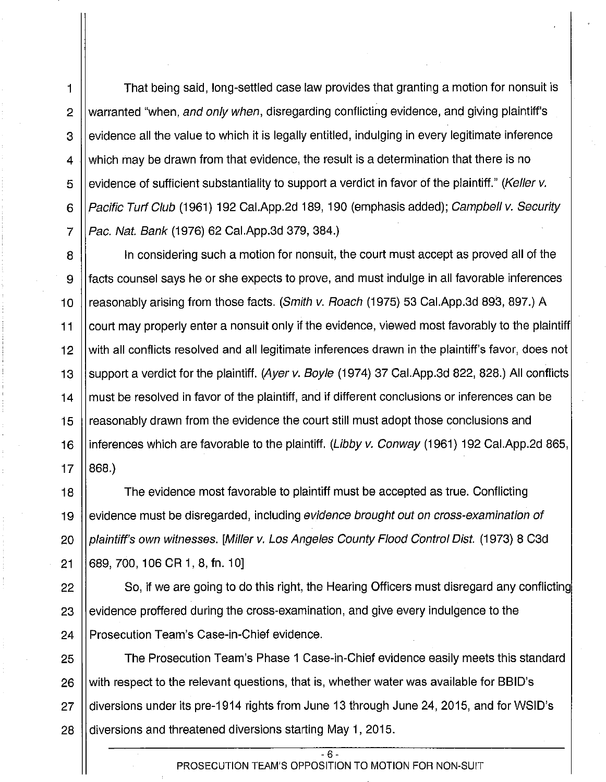1 | That being said, long-settled case law provides that granting a motion for nonsuit is 2 Warranted "when, and only when, disregarding conflicting evidence, and giving plaintiff's  $3$   $\parallel$  evidence all the value to which it is legally entitled, indulging in every legitimate inference 4  $\parallel$  which may be drawn from that evidence, the result is a determination that there is no 5 | evidence of sufficient substantiality to support a verdict in favor of the plaintiff." (Keller v. 6 | Pacific Turf Club (1961) 192 Cal.App.2d 189, 190 (emphasis added); Campbell v. Security 7  $\vert$  Pac. Nat. Bank (1976) 62 Cal. App. 3d 379, 384.)

8 || In considering such a motion for nonsuit, the court must accept as proved all of the 9 facts counsel says he or she expects to prove, and must indulge in all favorable inferences 10 || reasonably arising from those facts. (Smith v. Roach (1975) 53 Cal.App.3d 893, 897.) A 11 court may properly enter a nonsuit only if the evidence, viewed most favorably to the plaintiff 12 || with all conflicts resolved and all legitimate inferences drawn in the plaintiff's favor, does not 13 Support a verdict for the plaintiff. (Ayer v. Boyle (1974) 37 Cal.App.3d 822, 828.) All conflicts 14 | must be resolved in favor of the plaintiff, and if different conclusions or inferences can be 15 | reasonably drawn from the evidence the court still must adopt those conclusions and 16 | inferences which are favorable to the plaintiff. (Libby v. Conway (1961) 192 Cal.App.2d 865,  $17 \mid 868.$ 

18 The evidence most favorable to plaintiff must be accepted as true. Conflicting 19 evidence must be disregarded, including *evidence brought out on cross-examination of* 20 | plaintiff's own witnesses. [Miller v. Los Angeles County Flood Control Dist. (1973) 8 C3d 21 **689, 700, 106 CR 1, 8, fn. 10** 

22  $\parallel$  So, if we are going to do this right, the Hearing Officers must disregard any conflicting 23  $\parallel$  evidence proffered during the cross-examination, and give every indulgence to the 24 | Prosecution Team's Case-in-Chief evidence.

25 The Prosecution Team's Phase 1 Case-in-Chief evidence easily meets this standard 26  $\parallel$  with respect to the relevant questions, that is, whether water was available for BBID's 27 diversions under its pre-1914 rights from June 13 through June 24, 2015, and for WSID's 28 diversions and threatened diversions starting May 1, 2015.

> - 6- PROSECUTION TEAM'S OPPOSITION TO MOTION FOR NON-SUIT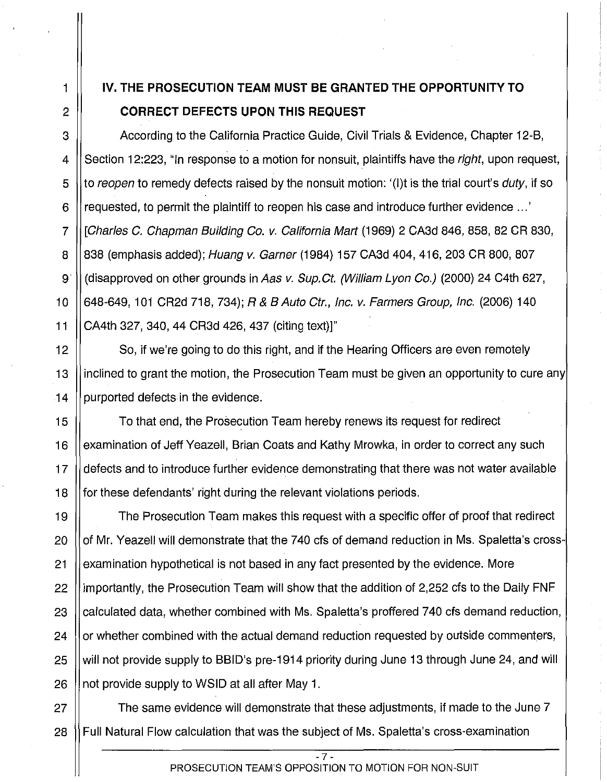## 1 IV. **THE PROSECUTION TEAM MUST BE GRANTED THE OPPORTUNITY TO**  2 **CORRECT DEFECTS UPON THIS REQUEST**

3 According to the California Practice Guide, Civil Trials & Evidence, Chapter 12-B, 4 || Section 12:223, "In response to a motion for nonsuit, plaintiffs have the *right*, upon request, 5  $\parallel$  to reopen to remedy defects raised by the nonsuit motion: '(I)t is the trial court's duty, if so 6 F requested, to permit the plaintiff to reopen his case and introduce further evidence ...' 7 [Charles C. Chapman Building Co. v. California Mart (1969) 2 CA3d 846, 858, 82 CR 830, 8 | 838 (emphasis added); Huang v. Garner (1984) 157 CA3d 404, 416, 203 CR 800, 807 9 (disapproved on other grounds in Aas v. Sup. Ct. (William Lyon Co.) (2000) 24 C4th 627, 10 648-649, 101 CR2d 718, 734); R & B Auto Ctr., Inc. v. Farmers Group, Inc. (2006) 140 11 CA4th 327, 340, 44 CR3d 426, 437 (citing text)]"

12 | So, if we're going to do this right, and if the Hearing Officers are even remotely 13 inclined to grant the motion, the Prosecution Team must be given an opportunity to cure any  $14$  | purported defects in the evidence.

15 To that end, the Prosecution Team hereby renews its request for redirect 16 | examination of Jeff Yeazell, Brian Coats and Kathy Mrowka, in order to correct any such 17 defects and to introduce further evidence demonstrating that there was not water available 18 for these defendants' right during the relevant violations periods.

19 The Prosecution Team makes this request with a specific offer of proof that redirect 20 || of Mr. Yeazell will demonstrate that the 740 cfs of demand reduction in Ms. Spaletta's cross-21 examination hypothetical is not based in any fact presented by the evidence. More 22 Il importantly, the Prosecution Team will show that the addition of 2,252 cfs to the Daily FNF 23 | calculated data, whether combined with Ms. Spaletta's proffered 740 cfs demand reduction, 24 | or whether combined with the actual demand reduction requested by outside commenters, 25 || will not provide supply to BBID's pre-1914 priority during June 13 through June 24, and will 26  $\parallel$  not provide supply to WSID at all after May 1.

27 || The same evidence will demonstrate that these adjustments, if made to the June 7 28 | Full Natural Flow calculation that was the subject of Ms. Spaletta's cross-examination

> - 7- PROSECUTION TEAM'S OPPOSITION TO MOTION FOR NON-SUIT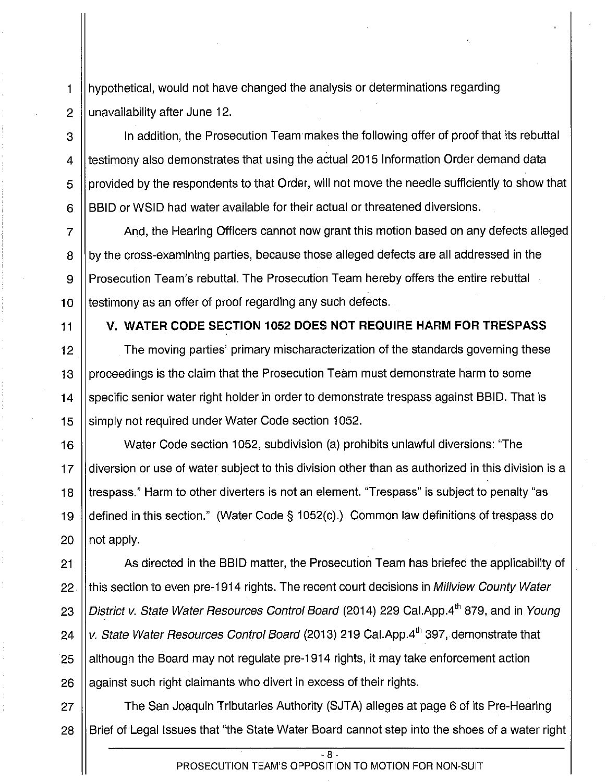1 hypothetical, would not have changed the analysis or determinations regarding 2  $\parallel$  unavailability after June 12.

3 | In addition, the Prosecution Team makes the following offer of proof that its rebuttal 4  $\parallel$  testimony also demonstrates that using the actual 2015 Information Order demand data 5 | provided by the respondents to that Order, will not move the needle sufficiently to show that 6 **BBID** or WSID had water available for their actual or threatened diversions.

7 And, the Hearing Officers cannot now grant this motion based on any defects alleged 8 by the cross-examining parties, because those alleged defects are all addressed in the 9 || Prosecution Team's rebuttal. The Prosecution Team hereby offers the entire rebuttal 10 Itestimony as an offer of proof regarding any such defects.

### 11 V. **WATER CODE SECTION 1052 DOES NOT REQUIRE HARM FOR TRESPASS**

 $\parallel$  The moving parties' primary mischaracterization of the standards governing these  $\parallel$  proceedings is the claim that the Prosecution Team must demonstrate harm to some  $\parallel$  specific senior water right holder in order to demonstrate trespass against BBID. That is 15 Simply not required under Water Code section 1052.

16 Water Code section 1052, subdivision (a) prohibits unlawful diversions: "The 17 diversion or use of water subject to this division other than as authorized in this division is a 18 I trespass." Harm to other diverters is not an element. "Trespass" is subject to penalty "as 19 defined in this section." (Water Code § 1 052(c).) Common law definitions of trespass do 20  $\parallel$  not apply.

**As directed in the BBID matter, the Prosecution Team has briefed the applicability of**  $\parallel$  this section to even pre-1914 rights. The recent court decisions in Millyiew County Water 23 ||District v. State Water Resources Control Board (2014) 229 Cal.App.4<sup>th</sup> 879, and in Young  $\, \parallel$ v. *State Water Resources Control Board* (2013) 219 Cal.App.4<sup>th</sup> 397, demonstrate that  $\parallel$  although the Board may not regulate pre-1914 rights, it may take enforcement action || against such right claimants who divert in excess of their rights.

27 | The San Joaquin Tributaries Authority (SJTA) alleges at page 6 of its Pre-Hearing 28 Brief of Legal Issues that "the State Water Board cannot step into the shoes of a water right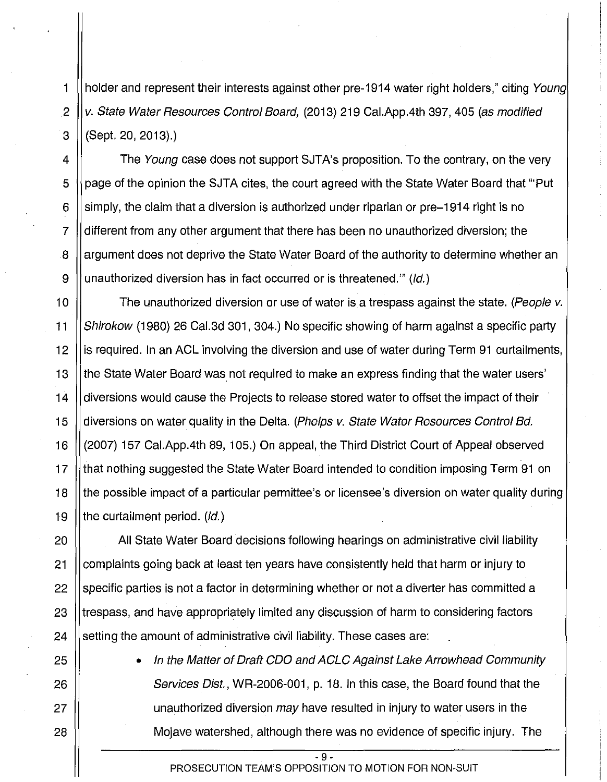1 || holder and represent their interests against other pre-1914 water right holders," citing Young 2  $\left\vert v\right\rangle$  State Water Resources Control Board, (2013) 219 Cal. App. 4th 397, 405 (as modified 3 (Sept. 20, 2013).)

4 II The Young case does not support SJTA's proposition. To the contrary, on the very 5 Supage of the opinion the SJTA cites, the court agreed with the State Water Board that "Put" 6 S is imply, the claim that a diversion is authorized under riparian or pre-1914 right is no 7 different from any other argument that there has been no unauthorized diversion; the 8 | argument does not deprive the State Water Board of the authority to determine whether an 9 | unauthorized diversion has in fact occurred or is threatened." (*ld.*)

10  $\parallel$  The unauthorized diversion or use of water is a trespass against the state. (People v. 11 Shirokow (1980) 26 Cal.3d 301, 304.) No specific showing of harm against a specific party 12 is required. In an ACL involving the diversion and use of water during Term 91 curtailments, 13 || the State Water Board was not required to make an express finding that the water users' 14 diversions would cause the Projects to release stored water to offset the impact of their 15 | diversions on water quality in the Delta. (Phelps v. State Water Resources Control Bd. 16 | (2007) 157 Cal.App.4th 89, 105.) On appeal, the Third District Court of Appeal observed 17 Ithat nothing suggested the State Water Board intended to condition imposing Term 91 on 18 the possible impact of a particular permittee's or licensee's diversion on water quality during 19 || the curtailment period.  $(dd)$ 

20 | All State Water Board decisions following hearings on administrative civil liability 21 complaints going back at least ten years have consistently held that harm or injury to 22 Sepecific parties is not a factor in determining whether or not a diverter has committed a 23 I trespass, and have appropriately limited any discussion of harm to considering factors 24  $\parallel$  setting the amount of administrative civil liability. These cases are:

25 • In the Matter of Draft COO and ACLC Against Lake Arrowhead Community 26  $\parallel$  Services Dist., WR-2006-001, p. 18. In this case, the Board found that the 27 || unauthorized diversion may have resulted in injury to water users in the 28 Mojave watershed, although there was no evidence of specific injury. The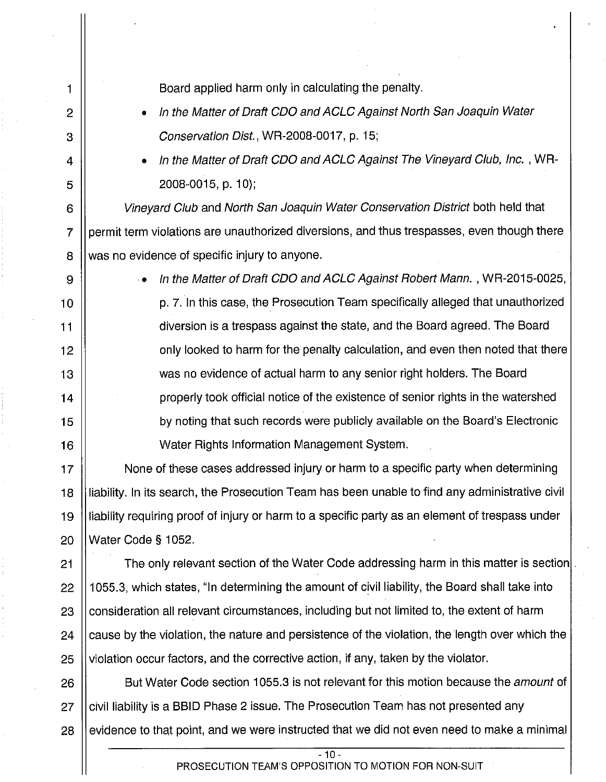| 1              | Board applied harm only in calculating the penalty.                                             |  |
|----------------|-------------------------------------------------------------------------------------------------|--|
| 2              | In the Matter of Draft CDO and ACLC Against North San Joaquin Water<br>$\bullet$                |  |
| 3              | Conservation Dist., WR-2008-0017, p. 15;                                                        |  |
| 4              | In the Matter of Draft CDO and ACLC Against The Vineyard Club, Inc., WR-<br>$\bullet$           |  |
| 5              | 2008-0015, p. 10);                                                                              |  |
| 6              | Vineyard Club and North San Joaquin Water Conservation District both held that                  |  |
| $\overline{7}$ | permit term violations are unauthorized diversions, and thus trespasses, even though there      |  |
| 8              | was no evidence of specific injury to anyone.                                                   |  |
| 9              | In the Matter of Draft CDO and ACLC Against Robert Mann., WR-2015-0025,                         |  |
| 10             | p. 7. In this case, the Prosecution Team specifically alleged that unauthorized                 |  |
| 11             | diversion is a trespass against the state, and the Board agreed. The Board                      |  |
| 12             | only looked to harm for the penalty calculation, and even then noted that there                 |  |
| 13             | was no evidence of actual harm to any senior right holders. The Board                           |  |
| 14             | properly took official notice of the existence of senior rights in the watershed                |  |
| 15             | by noting that such records were publicly available on the Board's Electronic                   |  |
| 16             | Water Rights Information Management System.                                                     |  |
| 17             | None of these cases addressed injury or harm to a specific party when determining               |  |
| 18             | liability. In its search, the Prosecution Team has been unable to find any administrative civil |  |
| 19             | liability requiring proof of injury or harm to a specific party as an element of trespass under |  |
| 20             | Water Code § 1052.                                                                              |  |
| 21             | The only relevant section of the Water Code addressing harm in this matter is section           |  |
| 22             | 1055.3, which states, "In determining the amount of civil liability, the Board shall take into  |  |
| 23             | consideration all relevant circumstances, including but not limited to, the extent of harm      |  |
| 24             | cause by the violation, the nature and persistence of the violation, the length over which the  |  |
| 25             | violation occur factors, and the corrective action, if any, taken by the violator.              |  |
| 26             | But Water Code section 1055.3 is not relevant for this motion because the <i>amount</i> of      |  |
| 27             | civil liability is a BBID Phase 2 issue. The Prosecution Team has not presented any             |  |
| 28             | evidence to that point, and we were instructed that we did not even need to make a minimal      |  |
|                | $-10-$                                                                                          |  |
|                | PROSECUTION TEAM'S OPPOSITION TO MOTION FOR NON-SUIT                                            |  |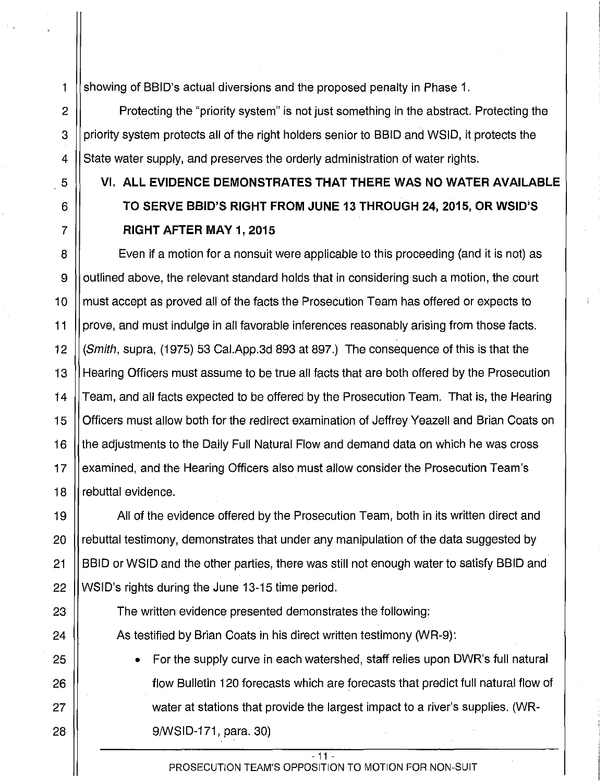1 showing of BBID's actual diversions and the proposed penalty in Phase 1.

2  $\parallel$  Protecting the "priority system" is not just something in the abstract. Protecting the 3 | priority system protects all of the right holders senior to BBID and WSID, it protects the 4 State water supply, and preserves the orderly administration of water rights.

# 5 VI. **ALL EVIDENCE DEMONSTRATES THAT THERE WAS NO WATER AVAILABLE**  6 **TO SERVE BBID'S RIGHT FROM JUNE 13 THROUGH 24,2015, OR WSID;S**  7 **RIGHT AFTER MAY 1, 2015**

8 Even if a motion for a nonsuit were applicable to this proceeding (and it is not) as 9 | outlined above, the relevant standard holds that in considering such a motion, the court 10 || must accept as proved all of the facts the Prosecution Team has offered or expects to 11 prove, and must indulge in all favorable inferences reasonably arising from those facts. 12 (Smith, supra, (1975) 53 Cai.App.3d 893 at 897.) The consequence of this is that the 13 Hearing Officers must assume to be true all facts that are both offered by the Prosecution 14 | Team, and all facts expected to be offered by the Prosecution Team. That is, the Hearing 15 | Officers must allow both for the redirect examination of Jeffrey Yeazell and Brian Coats on 16 || the adjustments to the Daily Full Natural Flow and demand data on which he was cross 17  $\parallel$  examined, and the Hearing Officers also must allow consider the Prosecution Team's 18 *I* rebuttal evidence.

19 | All of the evidence offered by the Prosecution Team, both in its written direct and 20 || rebuttal testimony, demonstrates that under any manipulation of the data suggested by 21 **BBID** or WSID and the other parties, there was still not enough water to satisfy BBID and 22 || WSID's rights during the June 13-15 time period.

- 23 | The written evidence presented demonstrates the following: 24  $\parallel$  As testified by Brian Coats in his direct written testimony (WR-9):
- 25 || For the supply curve in each watershed, staff relies upon DWR's full natural 26 || flow Bulletin 120 forecasts which are forecasts that predict full natural flow of 27 | water at stations that provide the largest impact to a river's supplies. (WR-28 9/WSID-171, para. 30)

- 11 - PROSECUTION TEAM'S OPPOSITION TO MOTION FOR NON-SUIT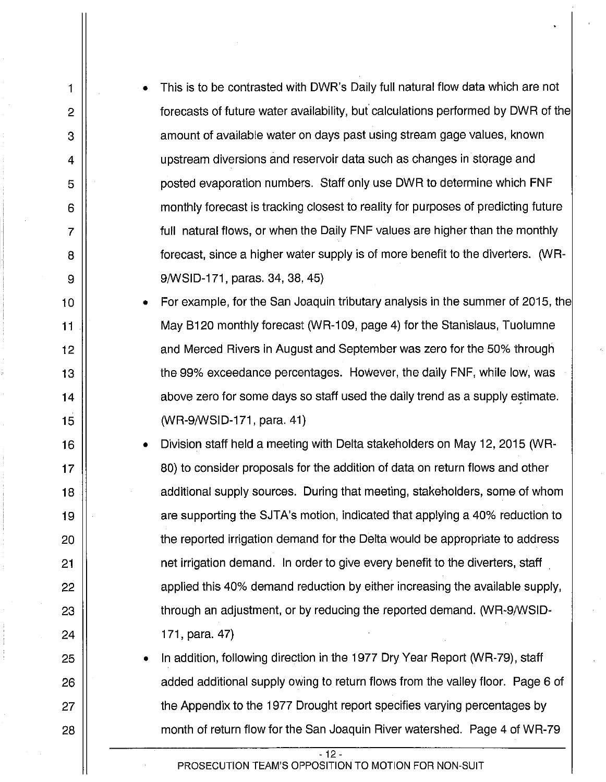• This is to be contrasted with DWR's Daily full natural flow data which are not forecasts of future water availability, but calculations performed by DWR of the amount of available water on days past using stream gage values, known upstream diversions and reservoir data such as changes in storage and posted evaporation numbers. Staff only use DWR to determine which FNF monthly forecast is tracking closest to reality for purposes of predicting future full natural flows, or when the Daily FNF values are higher than the monthly forecast, since a higher water supply is of more benefit to the diverters. (WR-9/WSID-171, paras. 34, 38, 45}

1

2

3

4

5

6

7

8

9

10

11

12

13

14

15

16

17

18

19

20

21

22

23

24

25

26

27

28

• For example, for the San Joaquin tributary analysis in the summer of 2015, the May B120 monthly forecast (WR-109, page 4) for the Stanislaus, Tuolumne and Merced Rivers in August and September was zero for the 50% through the 99% exceedance percentages. However, the daily FNF, while low, was above zero for some days so staff used the daily trend as a supply estimate. (WR-9/WSID-171, para. 41)

• Division staff held a meeting with Delta stakeholders on May 12, 2015 (WR-80) to consider proposals for the addition of data on return flows and other additional supply sources. During that meeting, stakeholders, some of whom are supporting the SJTA's motion, indicated that applying a 40% reduction to the reported irrigation demand for the Delta would be appropriate to address net irrigation demand. In order to give every benefit to the diverters, staff applied this 40% demand reduction by either increasing the available supply, through an adjustment, or by reducing the reported demand. (WR-9/WSID-171, para. 47)

• In addition, following direction in the 1977 Dry Year Report (WR-79), staff added additional supply owing to return flows from the valley floor. Page 6 of the Appendix to the 1977 Drought report specifies varying percentages by month of return flow for the San Joaquin River watershed. Page 4 of WR-79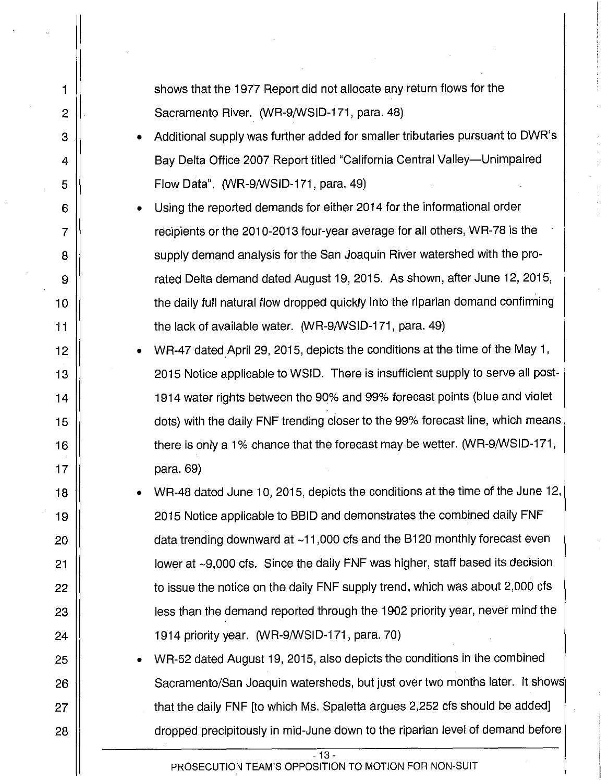shows that the 1977 Report did not allocate any return flows for the Sacramento River. (WR-9/WSID-171, para. 48)

- Additional supply was further added for smaller tributaries pursuant to DWR's Bay Delta Office 2007 Report titled "California Central Valley-Unimpaired Flow Data". (WR-9/WSID-171, para. 49)
- Using the reported demands for either 2014 for the informational order recipients or the 2010-2013 four-year average for all others, WR-78 is the supply demand analysis for the San Joaquin River watershed with the prorated Delta demand dated August 19, 2015. As shown, after June 12, 2015, the daily full natural flow dropped quickly into the riparian demand confirming the lack of available water. (WR-9/WSID-171, para. 49)
- WR-47 dated April 29, 2015, depicts the conditions at the time of the May 1, 2015 Notice applicable to WSID. There is insufficient supply to serve all post-1914 water rights between the 90% and 99% forecast points (blue and violet dots) with the daily FNF trending closer to the 99% forecast line, which means there is only a 1% chance that the forecast may be wetter. (WR-9/WSID-171, para. 69)
- WR-48 dated June 10, 2015, depicts the conditions at the time of the June 12, 2015 Notice applicable to BBID and demonstrates the combined daily FNF data trending downward at  $~11,000$  cfs and the B120 monthly forecast even lower at ~9,000 cfs. Since the daily FNF was higher, staff based its decision to issue the notice on the daily FNF supply trend, which was about 2,000 cfs less than the demand reported through the 1902 priority year, never mind the 1914 priority year. (WR-9/WSID-171, para. 70)
- WR-52 dated August 19, 2015, also depicts the conditions in the combined Sacramento/San Joaquin watersheds, but just over two months later. It shows that the daily FNF [to which Ms. Spaletta argues 2,252 cfs should be added] dropped precipitously in mid-June down to the riparian level of demand before

27 28

1

2

3

4

5

6

7

8

9

10

11

12

13

14

15

16

17

18

19

20

21

22

23

24

25

26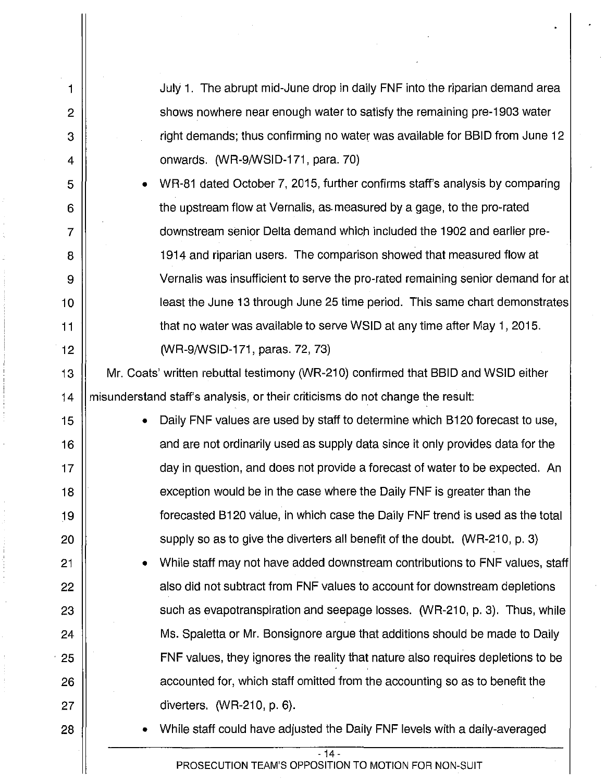1 July 1. The abrupt mid-June drop in daily FNF into the riparian demand area 2 | shows nowhere near enough water to satisfy the remaining pre-1903 water 3 right demands; thus confirming no water was available for BBID from June 12 4 || cnwards. (WR-9/WSID-171, para. 70) 5 • WR-81 dated October 7, 2015, further confirms staff's analysis by comparing 6 || the upstream flow at Vernalis, as measured by a gage, to the pro-rated 7 downstream senior Delta demand which included the 1902 and earlier prea 1914 and riparian users. The comparison showed that measured flow at 9 | Vernalis was insufficient to serve the pro-rated remaining senior demand for at 10 least the June 13 through June 25 time period. This same chart demonstrates 11 **that no water was available to serve WSID at any time after May 1, 2015.** 12 || WR-9/WSID-171, paras. 72, 73) 13 Mr. Coats' written rebuttal testimony (WR-210) confirmed that BBID and WSID either 14  $\parallel$  misunderstand staff's analysis, or their criticisms do not change the result: 15 | **•** Daily FNF values are used by staff to determine which B120 forecast to use, 16 ||<br>16 and are not ordinarily used as supply data since it only provides data for the 17 ||<br>
day in question, and does not provide a forecast of water to be expected. An 18 ||<br> **18 ||** exception would be in the case where the Daily FNF is greater than the 19 forecasted 8120 value, in which case the Daily FNF trend is used as the total 20  $\parallel$  supply so as to give the diverters all benefit of the doubt. (WR-210, p. 3) 21 **Fig. 21** • While staff may not have added downstream contributions to FNF values, staff 22 | also did not subtract from FNF values to account for downstream depletions 23  $\parallel$  such as evapotranspiration and seepage losses. (WR-210, p. 3). Thus, while 24 | Ms. Spaletta or Mr. Bonsignore argue that additions should be made to Daily · 25 FNF values, they ignores the reality that nature also requires depletions to be 26 || accounted for, which staff omitted from the accounting so as to benefit the 27 || diverters. (WR-210, p. 6). 28 || • While staff could have adjusted the Daily FNF levels with a daily-averaged  $-14$ PROSECUTION TEAM'S OPPOSITION TO MOTION FOR NON-SUIT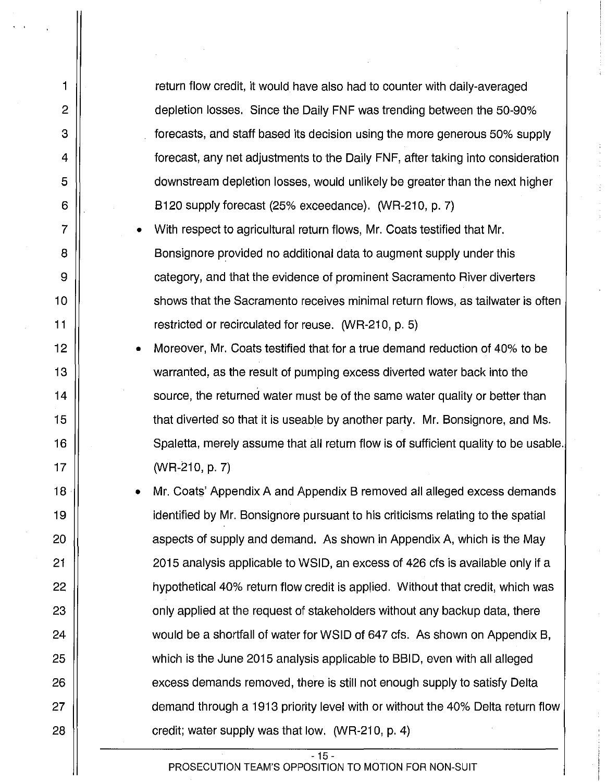return flow credit, it would have also had to counter with daily-averaged depletion losses. Since the Daily FNF was trending between the 50-90% forecasts, and staff based its decision using the more generous 50% supply forecast, any net adjustments to the Daily FNF, after taking into consideration downstream depletion losses, would unlikely be greater than the next higher B120 supply forecast (25% exceedance). (WR-210, p. 7)

1

2

3

4

5

6

7

8

9

10

11

12

13

14

15

16

17

18

19

20

21

22

23

24

25

26

27

28

• With respect to agricultural return flows, Mr. Coats testified that Mr. Bonsignore provided no additional data to augment supply under this category, and that the evidence of prominent Sacramento River diverters shows that the Sacramento receives minimal return flows, as tailwater is often restricted or recirculated for reuse. (WR-210, p. 5)

• Moreover, Mr. Coats testified that for a true demand reduction of 40% to be warranted, as the result of pumping excess diverted water back into the source, the returned water must be of the same water quality or better than that diverted so that it is useable by another party. Mr. Bonsignore, and Ms. Spaletta, merely assume that all return flow is of sufficient quality to be usable. (WR-210, p. 7)

Mr. Coats' Appendix A and Appendix B removed all alleged excess demands identified by Mr. Bonsignore pursuant to his criticisms relating to the spatial aspects of supply and demand. As shown in Appendix A, which is the May 2015 analysis applicable to WSID, an excess of 426 cfs is available only if a hypothetical 40% return flow credit is applied. Without that credit, which was only applied at the request of stakeholders without any backup data, there would be a shortfall of water for WSID of 647 cfs. As shown on Appendix B, which is the June 2015 analysis applicable to BBID, even with all alleged excess demands removed, there is still not enough supply to satisfy Delta demand through a 1913 priority level with or without the 40% Delta return flow credit; water supply was that low.  $(WR-210, p. 4)$ 

- 15 -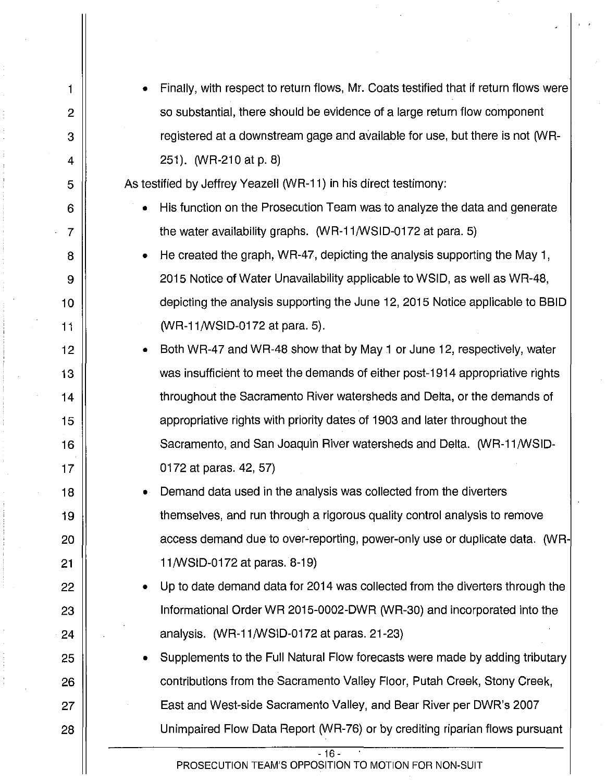| 1              | Finally, with respect to return flows, Mr. Coats testified that if return flows were |
|----------------|--------------------------------------------------------------------------------------|
| $\overline{2}$ | so substantial, there should be evidence of a large return flow component            |
| 3              | registered at a downstream gage and available for use, but there is not (WR-         |
| 4              | 251). (WR-210 at p. 8)                                                               |
| 5              | As testified by Jeffrey Yeazell (WR-11) in his direct testimony:                     |
| 6              | His function on the Prosecution Team was to analyze the data and generate            |
| 7              | the water availability graphs. (WR-11/WSID-0172 at para. 5)                          |
| 8              | He created the graph, WR-47, depicting the analysis supporting the May 1,            |
| 9              | 2015 Notice of Water Unavailability applicable to WSID, as well as WR-48,            |
| 10             | depicting the analysis supporting the June 12, 2015 Notice applicable to BBID        |
| 11             | (WR-11/WSID-0172 at para. 5).                                                        |
| 12             | Both WR-47 and WR-48 show that by May 1 or June 12, respectively, water              |
| 13             | was insufficient to meet the demands of either post-1914 appropriative rights        |
| 14             | throughout the Sacramento River watersheds and Delta, or the demands of              |
| 15             | appropriative rights with priority dates of 1903 and later throughout the            |
| 16             | Sacramento, and San Joaquin River watersheds and Delta. (WR-11/WSID-                 |
| 17             | 0172 at paras. 42, 57)                                                               |
| 18             | Demand data used in the analysis was collected from the diverters                    |
| 19             | themselves, and run through a rigorous quality control analysis to remove            |
| 20             | access demand due to over-reporting, power-only use or duplicate data. (WR-          |
| 21             | 11/WSID-0172 at paras. 8-19)                                                         |
| 22             | Up to date demand data for 2014 was collected from the diverters through the         |
| 23             | Informational Order WR 2015-0002-DWR (WR-30) and incorporated into the               |
| 24             | analysis. $(WR-11/WSID-0172$ at paras. 21-23)                                        |
| 25             | Supplements to the Full Natural Flow forecasts were made by adding tributary         |
| 26             | contributions from the Sacramento Valley Floor, Putah Creek, Stony Creek,            |
| 27             | East and West-side Sacramento Valley, and Bear River per DWR's 2007                  |
| 28             | Unimpaired Flow Data Report (WR-76) or by crediting riparian flows pursuant          |
|                | $-16 -$<br>PROSECUTION TEAM'S OPPOSITION TO MOTION FOR NON-SUIT                      |
|                |                                                                                      |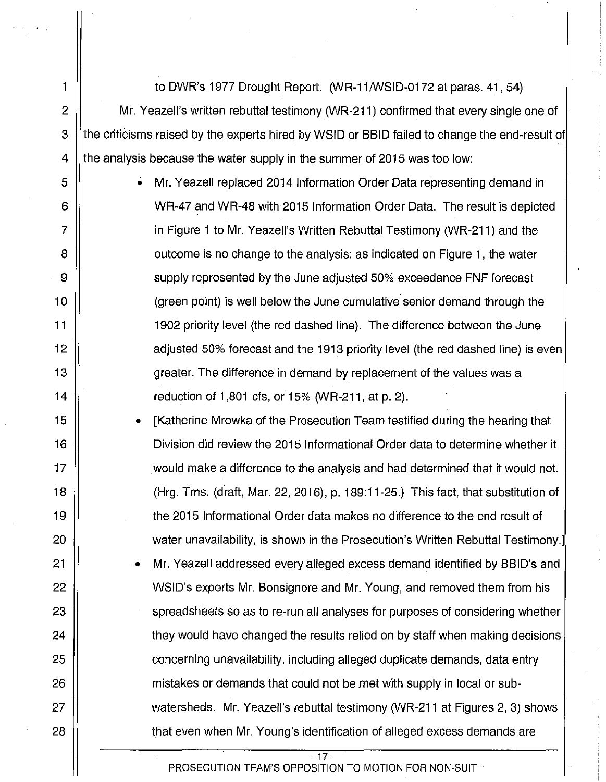1 to DWR's 1977 Drought Report. (WR-11/WSID-0172 at paras. 41, 54) 2  $\parallel$  Mr. Yeazell's written rebuttal testimony (WR-211) confirmed that every single one of 3 I the criticisms raised by the experts hired by WSID or BBID failed to change the end-result of 4  $\parallel$  the analysis because the water supply in the summer of 2015 was too low:

5 • Mr. Yeazell replaced 2014 Information Order Data representing demand in 6 WR-47 and WR-48 with 2015 Information Order Data. The result is depicted 7 II can be in Figure 1 to Mr. Yeazell's Written Rebuttal Testimony (WR-211) and the 8 || cutcome is no change to the analysis: as indicated on Figure 1, the water 9 | supply represented by the June adjusted 50% exceedance FNF forecast 10 (green point) is well below the June cumulative senior demand through the 11 1902 priority level (the red dashed line). The difference between the June 12 || adjusted 50% forecast and the 1913 priority level (the red dashed line) is even 13 || greater. The difference in demand by replacement of the values was a 14 reduction of 1,801 cfs, or 15% (WR-211, at p. 2).

15 • [Katherine Mrowka of the Prosecution Team testified during the hearing that 16 Division did review the 2015 Informational Order data to determine whether it 17 would make a difference to the analysis and had determined that it would not. 18 (Hrg. Trns. (draft, Mar. 22, 2016), p. 189:11-25.) This fact, that substitution of 19 the 2015 Informational Order data makes no difference to the end result of 20 || water unavailability, is shown in the Prosecution's Written Rebuttal Testimony.]

21 | • Mr. Yeazell addressed every alleged excess demand identified by BBID's and 22 | WSID's experts Mr. Bonsignore and Mr. Young, and removed them from his 23 || spreadsheets so as to re-run all analyses for purposes of considering whether 24 |  $\vert$  they would have changed the results relied on by staff when making decisions 25 || concerning unavailability, including alleged duplicate demands, data entry 26 mistakes or demands that could not be *met* with supply in local or sub-27 watersheds. Mr. Yeazell's rebuttal testimony (WR-211 at Figures 2, 3) shows 28 || that even when Mr. Young's identification of alleged excess demands are

- 17-

PROSECUTION TEAM'S OPPOSITION TO MOTION FOR NON-SUIT  $\cdot$